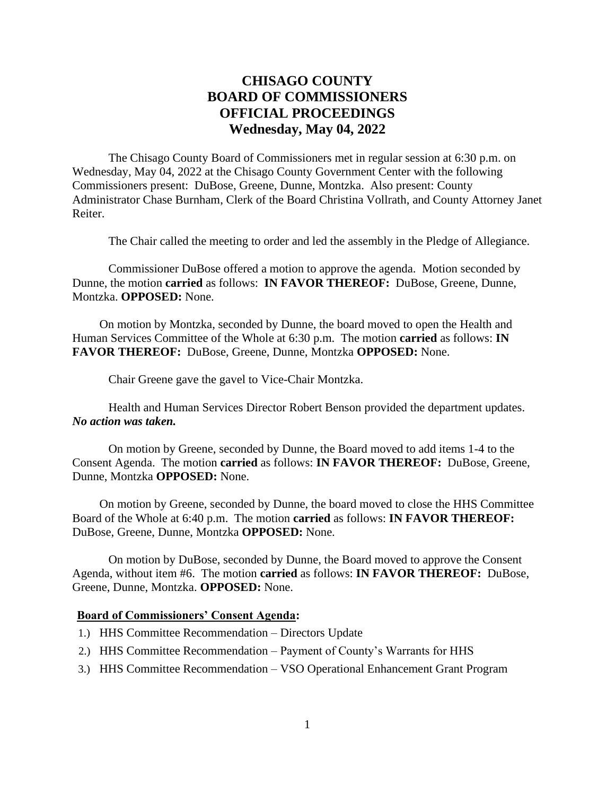# **CHISAGO COUNTY BOARD OF COMMISSIONERS OFFICIAL PROCEEDINGS Wednesday, May 04, 2022**

The Chisago County Board of Commissioners met in regular session at 6:30 p.m. on Wednesday, May 04, 2022 at the Chisago County Government Center with the following Commissioners present: DuBose, Greene, Dunne, Montzka. Also present: County Administrator Chase Burnham, Clerk of the Board Christina Vollrath, and County Attorney Janet Reiter.

The Chair called the meeting to order and led the assembly in the Pledge of Allegiance.

Commissioner DuBose offered a motion to approve the agenda. Motion seconded by Dunne, the motion **carried** as follows: **IN FAVOR THEREOF:** DuBose, Greene, Dunne, Montzka. **OPPOSED:** None.

On motion by Montzka, seconded by Dunne, the board moved to open the Health and Human Services Committee of the Whole at 6:30 p.m. The motion **carried** as follows: **IN FAVOR THEREOF:** DuBose, Greene, Dunne, Montzka **OPPOSED:** None.

Chair Greene gave the gavel to Vice-Chair Montzka.

Health and Human Services Director Robert Benson provided the department updates. *No action was taken.*

On motion by Greene, seconded by Dunne, the Board moved to add items 1-4 to the Consent Agenda. The motion **carried** as follows: **IN FAVOR THEREOF:** DuBose, Greene, Dunne, Montzka **OPPOSED:** None.

On motion by Greene, seconded by Dunne, the board moved to close the HHS Committee Board of the Whole at 6:40 p.m. The motion **carried** as follows: **IN FAVOR THEREOF:** DuBose, Greene, Dunne, Montzka **OPPOSED:** None.

On motion by DuBose, seconded by Dunne, the Board moved to approve the Consent Agenda, without item #6. The motion **carried** as follows: **IN FAVOR THEREOF:** DuBose, Greene, Dunne, Montzka. **OPPOSED:** None.

#### **Board of Commissioners' Consent Agenda:**

- 1.) HHS Committee Recommendation Directors Update
- 2.) HHS Committee Recommendation Payment of County's Warrants for HHS
- 3.) HHS Committee Recommendation VSO Operational Enhancement Grant Program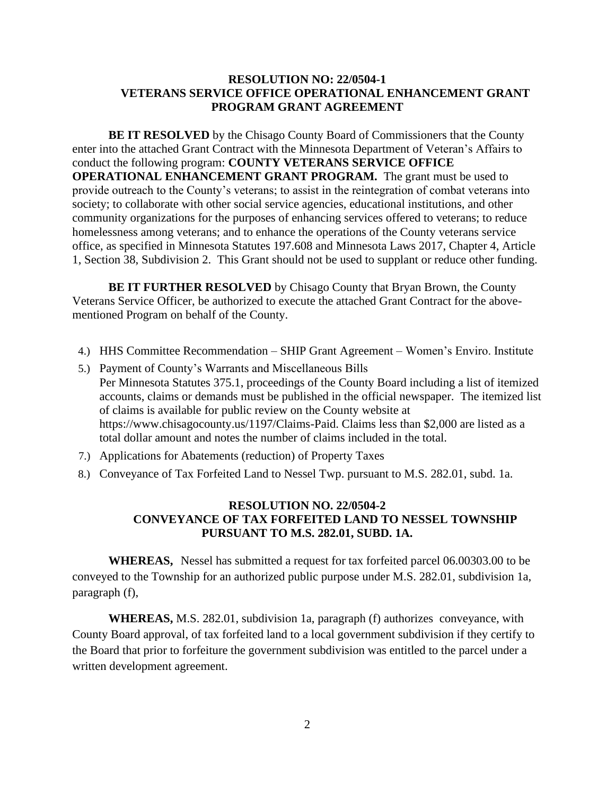### **RESOLUTION NO: 22/0504-1 VETERANS SERVICE OFFICE OPERATIONAL ENHANCEMENT GRANT PROGRAM GRANT AGREEMENT**

**BE IT RESOLVED** by the Chisago County Board of Commissioners that the County enter into the attached Grant Contract with the Minnesota Department of Veteran's Affairs to conduct the following program: **COUNTY VETERANS SERVICE OFFICE OPERATIONAL ENHANCEMENT GRANT PROGRAM.** The grant must be used to provide outreach to the County's veterans; to assist in the reintegration of combat veterans into society; to collaborate with other social service agencies, educational institutions, and other community organizations for the purposes of enhancing services offered to veterans; to reduce homelessness among veterans; and to enhance the operations of the County veterans service office, as specified in Minnesota Statutes 197.608 and Minnesota Laws 2017, Chapter 4, Article 1, Section 38, Subdivision 2. This Grant should not be used to supplant or reduce other funding.

**BE IT FURTHER RESOLVED** by Chisago County that Bryan Brown, the County Veterans Service Officer, be authorized to execute the attached Grant Contract for the abovementioned Program on behalf of the County.

- 4.) HHS Committee Recommendation SHIP Grant Agreement Women's Enviro. Institute
- 5.) Payment of County's Warrants and Miscellaneous Bills Per Minnesota Statutes 375.1, proceedings of the County Board including a list of itemized accounts, claims or demands must be published in the official newspaper. The itemized list of claims is available for public review on the County website at https://www.chisagocounty.us/1197/Claims-Paid. Claims less than \$2,000 are listed as a total dollar amount and notes the number of claims included in the total.
- 7.) Applications for Abatements (reduction) of Property Taxes
- 8.) Conveyance of Tax Forfeited Land to Nessel Twp. pursuant to M.S. 282.01, subd. 1a.

### **RESOLUTION NO. 22/0504-2 CONVEYANCE OF TAX FORFEITED LAND TO NESSEL TOWNSHIP PURSUANT TO M.S. 282.01, SUBD. 1A.**

**WHEREAS,** Nessel has submitted a request for tax forfeited parcel 06.00303.00 to be conveyed to the Township for an authorized public purpose under M.S. 282.01, subdivision 1a, paragraph (f),

**WHEREAS,** M.S. 282.01, subdivision 1a, paragraph (f) authorizes conveyance, with County Board approval, of tax forfeited land to a local government subdivision if they certify to the Board that prior to forfeiture the government subdivision was entitled to the parcel under a written development agreement.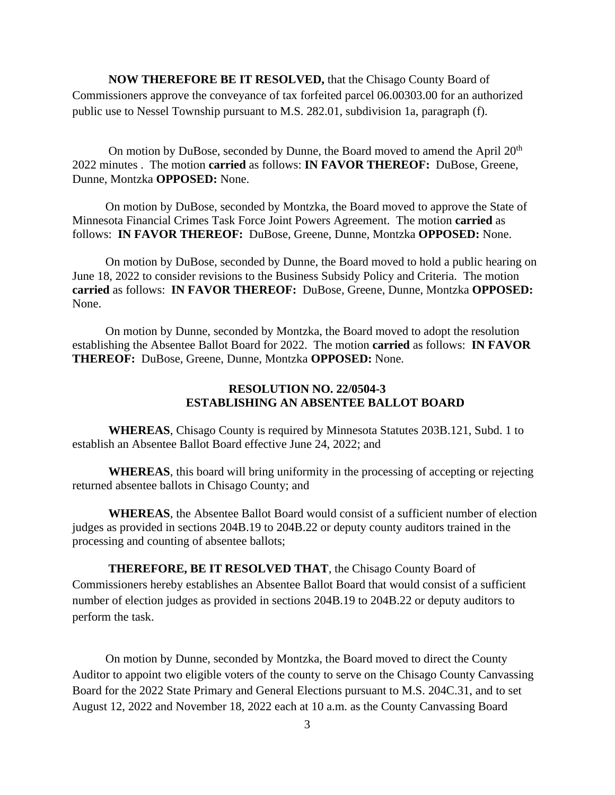**NOW THEREFORE BE IT RESOLVED,** that the Chisago County Board of Commissioners approve the conveyance of tax forfeited parcel 06.00303.00 for an authorized public use to Nessel Township pursuant to M.S. 282.01, subdivision 1a, paragraph (f).

On motion by DuBose, seconded by Dunne, the Board moved to amend the April  $20<sup>th</sup>$ 2022 minutes . The motion **carried** as follows: **IN FAVOR THEREOF:** DuBose, Greene, Dunne, Montzka **OPPOSED:** None.

 On motion by DuBose, seconded by Montzka, the Board moved to approve the State of Minnesota Financial Crimes Task Force Joint Powers Agreement. The motion **carried** as follows: **IN FAVOR THEREOF:** DuBose, Greene, Dunne, Montzka **OPPOSED:** None.

 On motion by DuBose, seconded by Dunne, the Board moved to hold a public hearing on June 18, 2022 to consider revisions to the Business Subsidy Policy and Criteria. The motion **carried** as follows: **IN FAVOR THEREOF:** DuBose, Greene, Dunne, Montzka **OPPOSED:** None.

 On motion by Dunne, seconded by Montzka, the Board moved to adopt the resolution establishing the Absentee Ballot Board for 2022. The motion **carried** as follows: **IN FAVOR THEREOF:** DuBose, Greene, Dunne, Montzka **OPPOSED:** None.

## **RESOLUTION NO. 22/0504-3 ESTABLISHING AN ABSENTEE BALLOT BOARD**

**WHEREAS**, Chisago County is required by Minnesota Statutes 203B.121, Subd. 1 to establish an Absentee Ballot Board effective June 24, 2022; and

**WHEREAS**, this board will bring uniformity in the processing of accepting or rejecting returned absentee ballots in Chisago County; and

**WHEREAS**, the Absentee Ballot Board would consist of a sufficient number of election judges as provided in sections 204B.19 to 204B.22 or deputy county auditors trained in the processing and counting of absentee ballots;

**THEREFORE, BE IT RESOLVED THAT**, the Chisago County Board of Commissioners hereby establishes an Absentee Ballot Board that would consist of a sufficient number of election judges as provided in sections 204B.19 to 204B.22 or deputy auditors to perform the task.

 On motion by Dunne, seconded by Montzka, the Board moved to direct the County Auditor to appoint two eligible voters of the county to serve on the Chisago County Canvassing Board for the 2022 State Primary and General Elections pursuant to M.S. 204C.31, and to set August 12, 2022 and November 18, 2022 each at 10 a.m. as the County Canvassing Board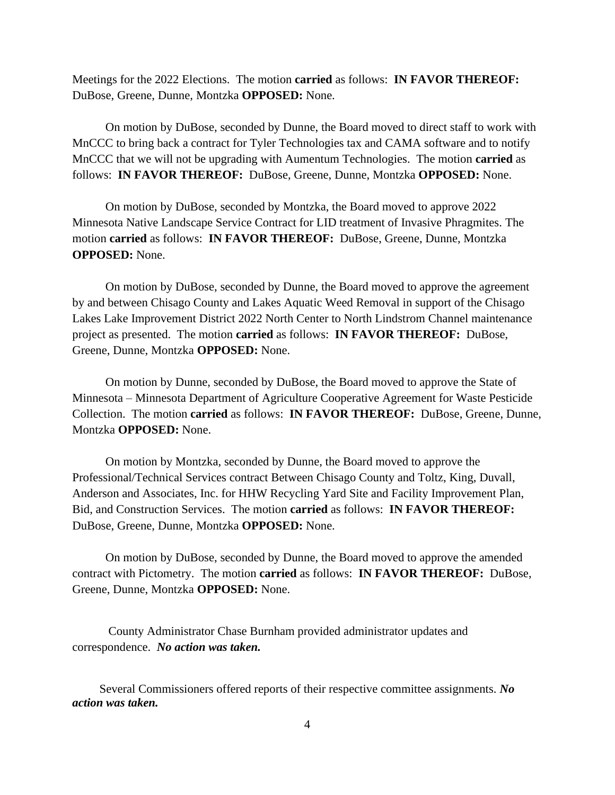Meetings for the 2022 Elections.The motion **carried** as follows: **IN FAVOR THEREOF:** DuBose, Greene, Dunne, Montzka **OPPOSED:** None.

 On motion by DuBose, seconded by Dunne, the Board moved to direct staff to work with MnCCC to bring back a contract for Tyler Technologies tax and CAMA software and to notify MnCCC that we will not be upgrading with Aumentum Technologies. The motion **carried** as follows: **IN FAVOR THEREOF:** DuBose, Greene, Dunne, Montzka **OPPOSED:** None.

 On motion by DuBose, seconded by Montzka, the Board moved to approve 2022 Minnesota Native Landscape Service Contract for LID treatment of Invasive Phragmites. The motion **carried** as follows: **IN FAVOR THEREOF:** DuBose, Greene, Dunne, Montzka **OPPOSED:** None.

 On motion by DuBose, seconded by Dunne, the Board moved to approve the agreement by and between Chisago County and Lakes Aquatic Weed Removal in support of the Chisago Lakes Lake Improvement District 2022 North Center to North Lindstrom Channel maintenance project as presented. The motion **carried** as follows: **IN FAVOR THEREOF:** DuBose, Greene, Dunne, Montzka **OPPOSED:** None.

 On motion by Dunne, seconded by DuBose, the Board moved to approve the State of Minnesota – Minnesota Department of Agriculture Cooperative Agreement for Waste Pesticide Collection.The motion **carried** as follows: **IN FAVOR THEREOF:** DuBose, Greene, Dunne, Montzka **OPPOSED:** None.

 On motion by Montzka, seconded by Dunne, the Board moved to approve the Professional/Technical Services contract Between Chisago County and Toltz, King, Duvall, Anderson and Associates, Inc. for HHW Recycling Yard Site and Facility Improvement Plan, Bid, and Construction Services. The motion **carried** as follows: **IN FAVOR THEREOF:** DuBose, Greene, Dunne, Montzka **OPPOSED:** None.

 On motion by DuBose, seconded by Dunne, the Board moved to approve the amended contract with Pictometry. The motion **carried** as follows: **IN FAVOR THEREOF:** DuBose, Greene, Dunne, Montzka **OPPOSED:** None.

County Administrator Chase Burnham provided administrator updates and correspondence. *No action was taken.*

Several Commissioners offered reports of their respective committee assignments. *No action was taken.*